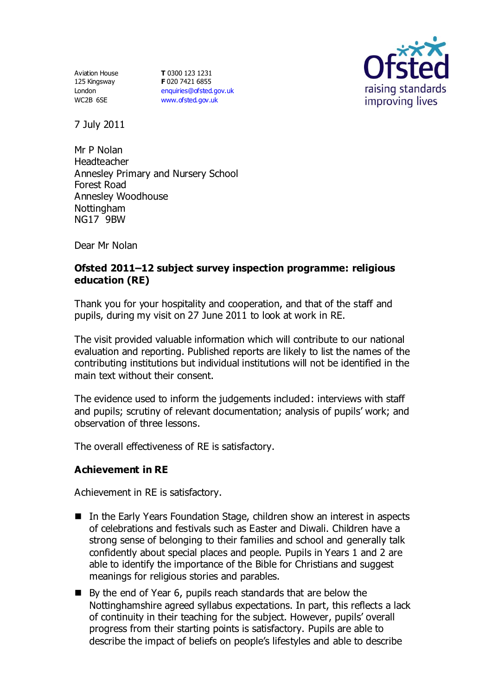Aviation House 125 Kingsway London WC2B 6SE

**T** 0300 123 1231 **F** 020 7421 6855 [enquiries@ofsted.gov.uk](mailto:enquiries@ofsted.gov.uk) [www.ofsted.gov.uk](http://www.ofsted.gov.uk/)



7 July 2011

Mr P Nolan Headteacher Annesley Primary and Nursery School Forest Road Annesley Woodhouse Nottingham NG17 9BW

Dear Mr Nolan

# **Ofsted 2011–12 subject survey inspection programme: religious education (RE)**

Thank you for your hospitality and cooperation, and that of the staff and pupils, during my visit on 27 June 2011 to look at work in RE.

The visit provided valuable information which will contribute to our national evaluation and reporting. Published reports are likely to list the names of the contributing institutions but individual institutions will not be identified in the main text without their consent.

The evidence used to inform the judgements included: interviews with staff and pupils; scrutiny of relevant documentation; analysis of pupils' work; and observation of three lessons.

The overall effectiveness of RE is satisfactory.

## **Achievement in RE**

Achievement in RE is satisfactory.

- In the Early Years Foundation Stage, children show an interest in aspects of celebrations and festivals such as Easter and Diwali. Children have a strong sense of belonging to their families and school and generally talk confidently about special places and people. Pupils in Years 1 and 2 are able to identify the importance of the Bible for Christians and suggest meanings for religious stories and parables.
- By the end of Year 6, pupils reach standards that are below the Nottinghamshire agreed syllabus expectations. In part, this reflects a lack of continuity in their teaching for the subject. However, pupils' overall progress from their starting points is satisfactory. Pupils are able to describe the impact of beliefs on people's lifestyles and able to describe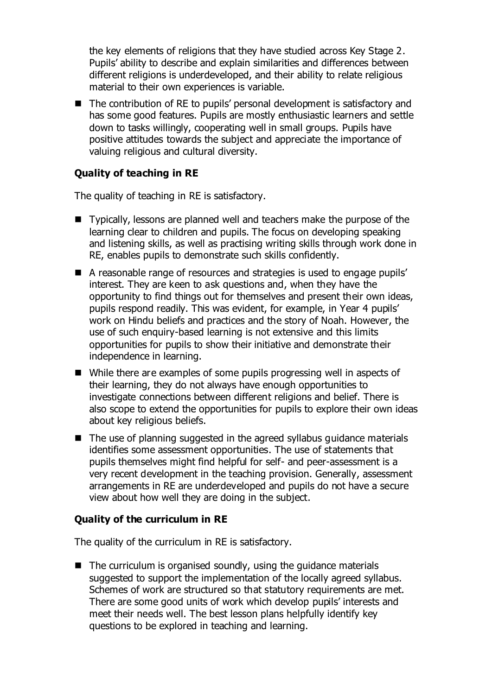the key elements of religions that they have studied across Key Stage 2. Pupils' ability to describe and explain similarities and differences between different religions is underdeveloped, and their ability to relate religious material to their own experiences is variable.

■ The contribution of RE to pupils' personal development is satisfactory and has some good features. Pupils are mostly enthusiastic learners and settle down to tasks willingly, cooperating well in small groups. Pupils have positive attitudes towards the subject and appreciate the importance of valuing religious and cultural diversity.

## **Quality of teaching in RE**

The quality of teaching in RE is satisfactory.

- Typically, lessons are planned well and teachers make the purpose of the learning clear to children and pupils. The focus on developing speaking and listening skills, as well as practising writing skills through work done in RE, enables pupils to demonstrate such skills confidently.
- A reasonable range of resources and strategies is used to engage pupils' interest. They are keen to ask questions and, when they have the opportunity to find things out for themselves and present their own ideas, pupils respond readily. This was evident, for example, in Year 4 pupils' work on Hindu beliefs and practices and the story of Noah. However, the use of such enquiry-based learning is not extensive and this limits opportunities for pupils to show their initiative and demonstrate their independence in learning.
- While there are examples of some pupils progressing well in aspects of their learning, they do not always have enough opportunities to investigate connections between different religions and belief. There is also scope to extend the opportunities for pupils to explore their own ideas about key religious beliefs.
- $\blacksquare$  The use of planning suggested in the agreed syllabus guidance materials identifies some assessment opportunities. The use of statements that pupils themselves might find helpful for self- and peer-assessment is a very recent development in the teaching provision. Generally, assessment arrangements in RE are underdeveloped and pupils do not have a secure view about how well they are doing in the subject.

#### **Quality of the curriculum in RE**

The quality of the curriculum in RE is satisfactory.

 $\blacksquare$  The curriculum is organised soundly, using the guidance materials suggested to support the implementation of the locally agreed syllabus. Schemes of work are structured so that statutory requirements are met. There are some good units of work which develop pupils' interests and meet their needs well. The best lesson plans helpfully identify key questions to be explored in teaching and learning.